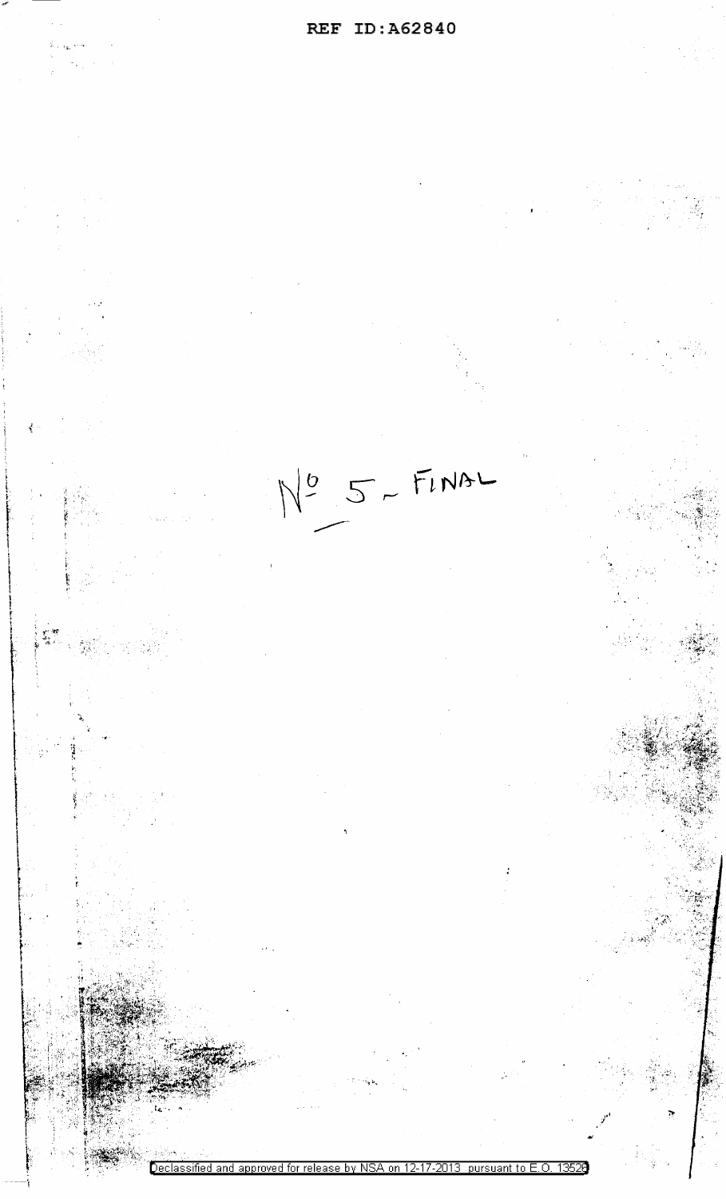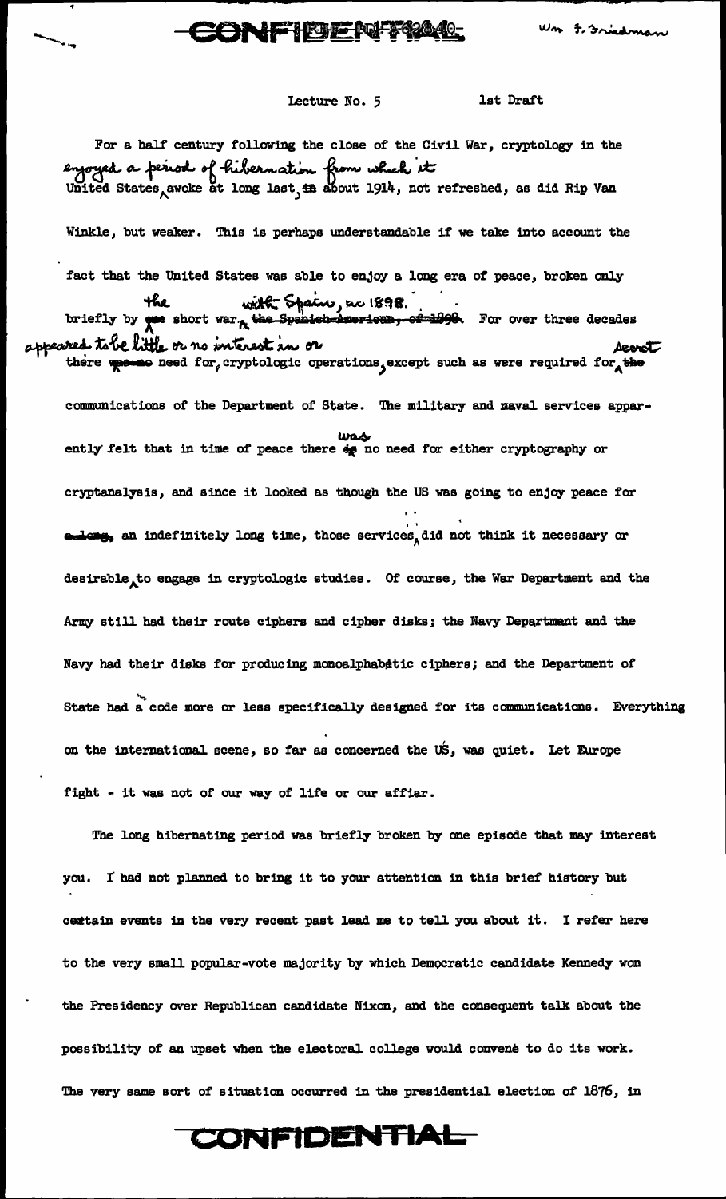### **CONFIBENT%4L**

Lecture No. 5 1st Draft

..  $\overline{\phantom{a}}$ ....

For a half century following the close of the Civil War, cryptology in the eyoyed a period of hibernation from which it Winkle, but weaker. This is perhaps understandable if we take into account the fact that the United States was able to enjoy a long era of peace, broken only he United States was able to enjoy a lot<br>
the will Spain, so 1898. briefly by **one** short war., the spenish-doversers, or  $\frac{10}{100}$ . For over three decades <br>red. to be little or no interest in or appeared tobe little or no interest in or there wester need for, cryptologic operations, except such as were required for the communications of' the Department of' State. The military and naval services apparwas ently felt that in time of peace there  $\frac{1}{2}$  no need for either cryptography or cryptanalysis, and since it looked as though the US was going to enjoy peace for ..  $\bullet$   $\bullet$  an indefinitely long time, those services, did not think it necessary or desirable to engage in cryptologic studies. Of course, the War Department and the Army still had their route ciphers and cipher disks; the Navy Department and the Navy had their disks for producing monoalphabetic ciphers; and the Department of State had a code more or less specifically designed for its communications. Everything on the international scene, so far as concerned the US, was quiet. Let Europe fight - it was not of our way of life or our affiar.

The long hibernating period was briefly broken by one episode that may interest you. I had not planned to bring it to your attention in this brief history but certain events in the very recent past lead me to tell you about it. I refer here to the very small popular-vote majority by which Democratic candidate Kennedy won the Presidency over Republican candidate Nixon, and the consequent talk. about the possibility of an upset when the electoral college would convene to do its work. The very same sort of situation occurred in the presidential election of 1876, in

## CONFIDENTIAL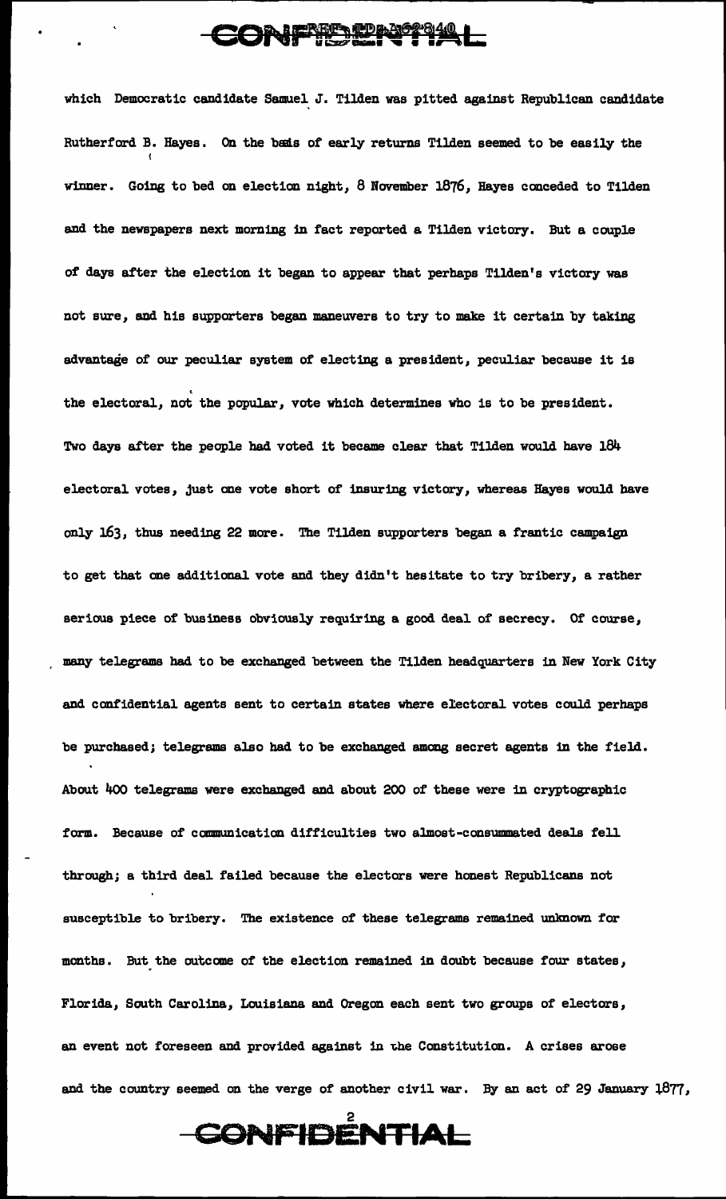## CONFIELPTIAL

which Democratic candidate Samuel. J. Tilden was pitted against Republican candidate Rutherford B. Hayes. On the besis of early returns Tilden seemed to be easily the winner. Going to bed on election night, 8 November 1876, Hayes conceded to Tilden and the newspapers next morning in fact reported a Tilden victory. But a couple of days after the election it began to appear that perhaps Tilden's victory was not sure, and his supporters began maneuvers to try to make it certain by taking advantage of our peculiar system of electing a president, peculiar because it is the electoral, not the popular, vote which determines who is to be president. Two days after the people had voted it became clear that Tilden would have 184 electoral votes, just one vote short of insuring victory, whereas Hayes would have only 163, thus needing 22 more. The Tilden supporters began a frantic campaign to get that one additional vote and they didn't hesitate to try bribery, a rather serious piece of business obviously requiring a good deal of secrecy. Of course, many telegrams bad to be exchanged between the Tilden headquarters in New York City and confidential agents sent to certain states where electoral votes could perhaps be purchased; telegrams also had to be exchanged among secret agents in the field. About 4oo telegrams were exchanged and about 200 of these were in cryptographic form. Because of communication difficulties two almost-consummated deals fell. through; a third deal failed because the electors were honest Republicans not susceptible to bribery. The existence of these telegrams remained unlmown for months. But the outcome of the election remained in doubt because four states, Florida, South Carolina, Louisiana and Oregon each sent two groups of electors, an event not foreseen and provided against in the Constitution. A crises arose and the country seemed on the verge of another civil war. By an act of 29 January 1877,

CONFIDÊNTIAL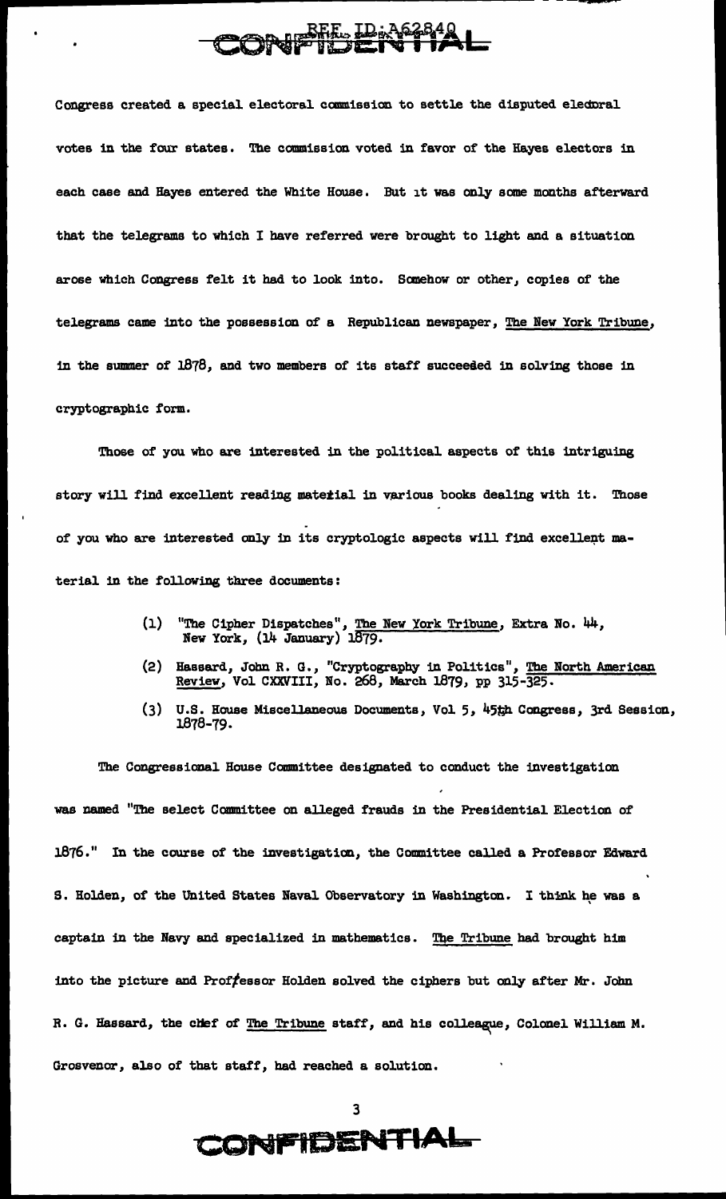# REE ID:A62840

...

Congress created a special electoral commission to settle the disputed elednral votes in the four states. The commission voted in favor of the Hayes electors in each case and Hayes entered the White House. But it was only sane months afterward that tbe telegrams to which I have referred were brought to light and a situation arose which Congress felt it had to look into. Sanehow or other, copies of the telegrams came into the possession of a Republican newspaper, The New York Tribune, 1n the summer of 1878, and two members of its staff succeeded in solving those in cryptographic form.

Those of you who are interested in the political aspects of this intriguing story will find excellent reading material in various books dealing with it. Those of you who are interested only in its cryptologic aspects will find excellent material in the following three documents:

- (1) "The Cipher Dispatches", The New York Tribune, Extra No. 44, New York, (14 January) 1879.
- (2) Hassard, John R. G., "Cryptography 1D Politics", The North American Review, Vol CXXVIII, No. 268, March 1879, pp 315-325.
- (3) U.S. House Miscellaneous Documents, Vol 5, 45th Congress, 3rd Session, l.878-79.

The Congressional House Committee designated to conduct the investigation was named "The select Committee on alleged frauds 1n the Presidential Election of 1876." In the course of the investigation, the Committee called a Professor Edward S. Holden, of the United States Naval Observatory in Washington. I think he was a captain in the Navy and specialized in mathematics. The Tribune had brought him into the picture and Proffessor Holden solved the ciphers but only after Mr. John R. G. Hassard, the chef of The Tribune staff, and his colleague, Colonel William M. Grosvenor, also of that staff, bad reached a solution.

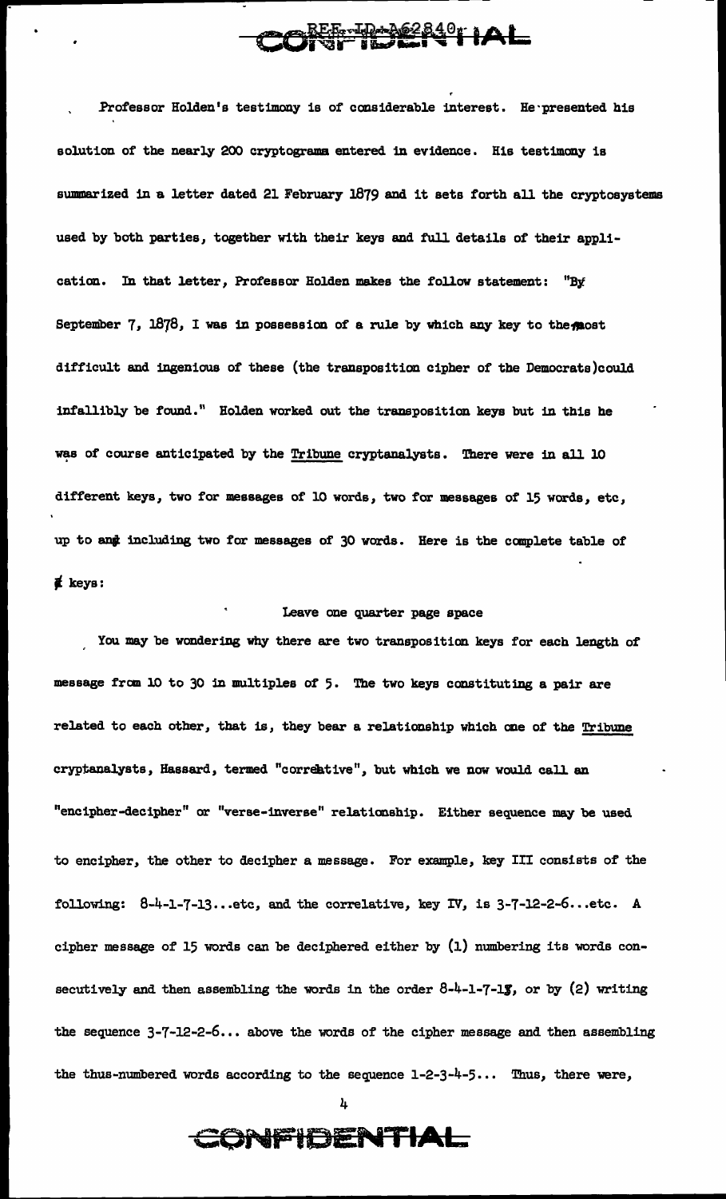**REFINING 2840 LAL** 

Professor Holden's testimony is of considerable interest. He presented his solution of the nearly 200 cryptograms entered in evidence. His testimony is summarized in a letter dated 21 February 1879 and it sets forth all the cryptosystems used by both parties, together with their keys and full details of their application. In that letter, Professor Holden makes the follow statement: "By September 7, 1878, I was in possession of a rule by which any key to the most difficult and ingenious of these (the transposition cipher of the Democrats)could infallibly be found." Holden worked out the transposition keys but in this he was of course anticipated by the Tribune cryptanalysts. There were in all 10 different keys, two for messages of 10 words, two for messages of 15 words, etc, up to and including two for messages of 30 words. Here is the complete table of  $\boldsymbol{\notin}$  keys:

#### Leave one quarter page space

You may be wondering why there are two transposition keys for each length of message fran 10 to 30 in multiples of 5. The two keys constituting a pair are related to each other, that is, they bear a relationship which one of the Tribune cryptanalysts, Hassard, termed "correative", but which we now would call an "encipher-decipher" or "verse-inverse" relationship. Either sequence may be used to encipher, the other to decipher a message. For example, key III consists of the following:  $8-4-1-7-13...$  etc, and the correlative, key IV, is  $3-7-12-2-6...$  etc. A cipher message of 15 words can be deciphered either by (1) numbering its words consecutively and then assembling the words in the order  $8-4-1-7-15$ , or by (2) writing the sequence  $3-7-12-2-6...$  above the words of the cipher message and then assembling the thus-numbered words according to the sequence  $1-2-3-4-5...$  Thus, there were,



### **CONFIDENTIAL**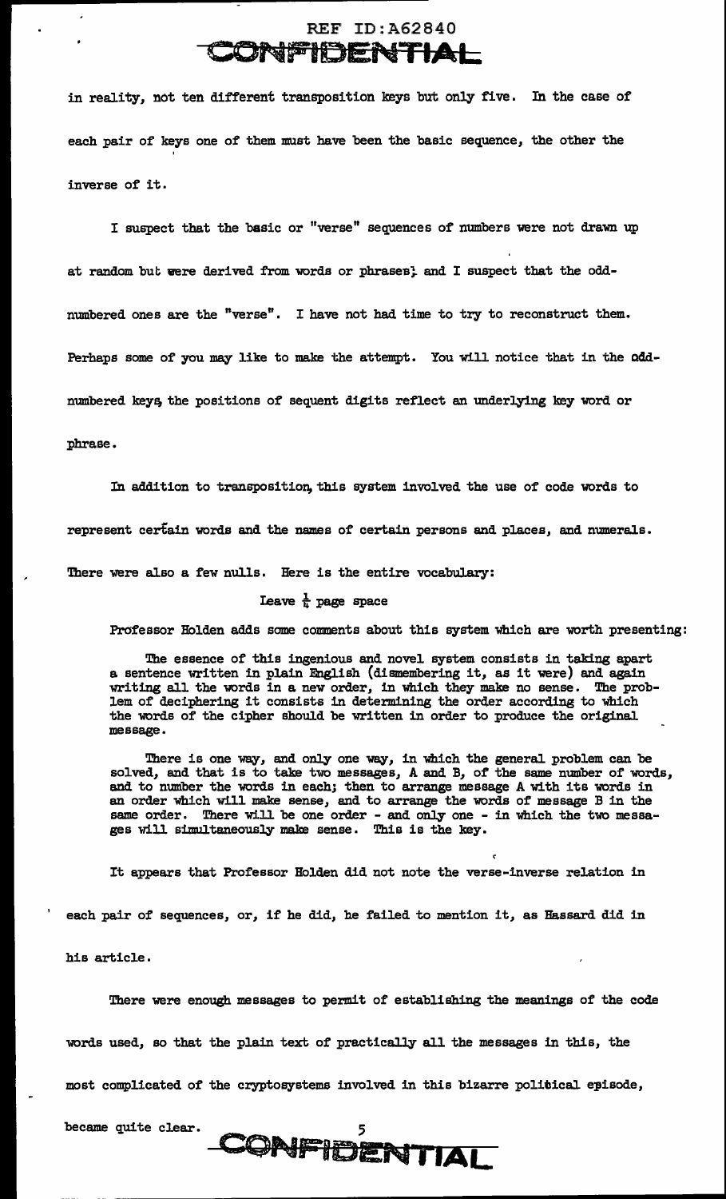#### REF ID:A62840 **CONFIDENTIAL**

in reality, not ten different transposition keys but only five. In the case of each pair of keys one of them must have been the basic sequence, the other the ' inverse of it.

I suspect that the basic or "verse" sequences of numbers were not drawn up at random but were derived from words or phrases; and I suspect that the oddnumbered ones are the "verse". I have not had time to try to reconstruct them. Perhaps some of you may like to make the attempt. You will notice that in the oddnumbered keys, the positions of sequent digits reflect an underlying key word or

#### phrase.

In addition to transposition, this system involved the use of code words to

represent certain words and the names of certain persons and places, and numerals.

There were also a few nulls. Here is the entire vocabulary:

#### Leave  $\frac{1}{k}$  page space

Professor Holden adds some comments about this system which are worth presenting:

The essence of this ingenious and novel system consists in taking apart a sentence written in plain English (dismembering it, as it were) and again writing all the words in a new order, in which they make no sense. The problem of deciphering it consists in determining the order according to which the words of the cipher should be written in order to produce the original message.

There is one way, and only one way, in which the general problem can be solved, and that is to take two messages, A and B, of the same number of words, and to number the words in each; then to arrange message A with its words in an order which will make sense, and to arrange the words of message B in the same order. There will be one order - and only one - in which the two messages will simultaneously make sense. This is the key.

It appears that Professor Holden did not note the verse-inverse relation in

each pair of sequences, or, if he did, he failed to mention it, as Hassard did in

his article •

There were enough messages to permit of establishing the meanings of the code words used, so that the plain text of practically all the messages in this, the most complicated of the cryptosystems involved in this bizarre political episode,

CONFIDENTIAL

became quite clear. 5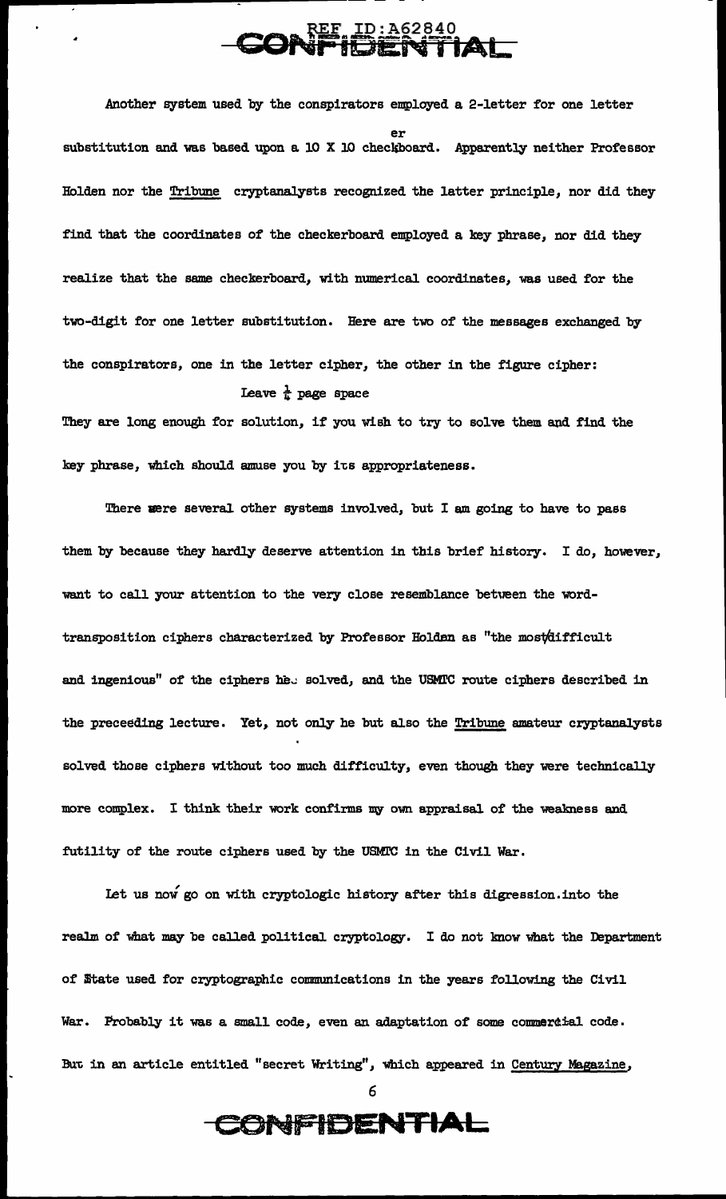#### $\sum_{\mathbf{A}} \mathbf{R} \mathbf{E} \mathbf{I} \mathbf{D} : \mathbf{A} \leq 2840$ CONFI<del>DENTIAL</del>

--------------------------~--::---~~~~~--- - -

Another system used by the conspirators employed a 2-letter for one letter er substitution and was based upon a 10 X 10 checkboard. Apparently neither Professor Holden nor the Tribune cryptanalysts recognized the latter principle, nor did they find that the coordinates of the checkerboard employed a key phrase, nor did they realize that the same checkerboard, with numerical coordinates, was used for the two-digit for one letter substitution. Here are two of the messages exchanged by the conspirators, one in the letter cipher, the other in the figure cipher: Leave  $\frac{1}{k}$  page space

They are long enough for solution, if you wish to try to solve them and find the key phrase, which should amuse you by its appropriateness.

There were several other systems involved, but I am going to have to pass them by because they hardly deserve attention 1n this brief history. I do, however, want to call your attention to the very close resemblance between the wordtransposition ciphers characterized by Professor Holdan as "the mostaifficult and ingenious" of the ciphers he. solved, and the USMIC route ciphers described in the preceeding lecture. Yet, not only he but also the Tribune amateur cryptanalysts solved those ciphers without too much difficulty, even though they were technically more complex. I think their work confirms my own appraisal of the weakness and futility of the route ciphers used by the USMl'C in the Civil War.

Let us now go on with cryptologic history after this digression. into the realm of what may be called political cryptology. I do not know what the Department of mtate used for cryptographic communications in the years following the Civil War. Probably it was a small code, even an adaptation of some commercial code. But in an article entitled "secret Writing", which appeared in Century Magazine,

6

**CONFIDENTIAL**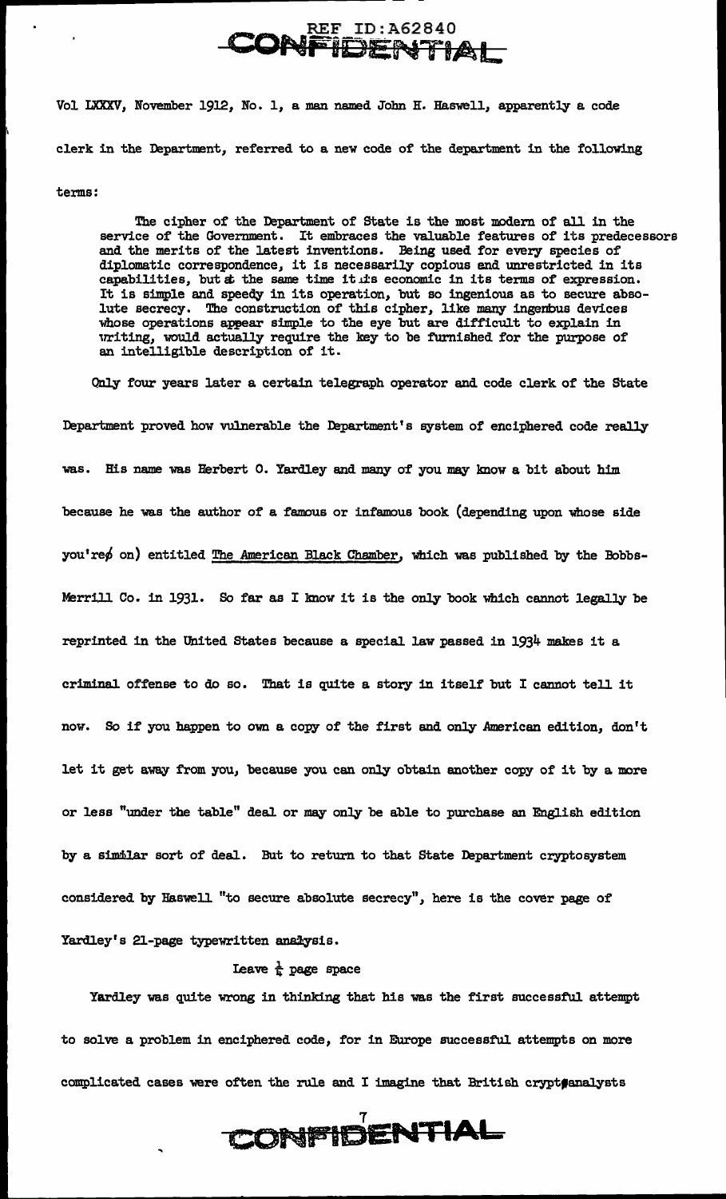#### REF ID:A62840 **CONFiDEN-a·nAL**

Vol LXXXV, November 1912, No. 1, a man named John B:. Haswell, apparently a code clerk in the Department, referred to a new code of the department in the following

terms:

The cipher of the Department of State is the most modern of all in the service of the Government. It embraces the valuable features of its predece It embraces the valuable features of its predecessors and the merits of the latest inventions. Being used for every species of' diplomatic correspondence, it is necessarily copious and unrestricted in its capabilities, but at the same time it is economic in its terms of expression. It is simple and speedy in its operation, but so ingenious as to secure absolute secrecy. The construction of this cipher, like many ingenbus devices whose operations appear simple to the eye but are difficult to explain in writing, would actually require the key to be furnished for the purpose of an intelligible description of it.

Only four years later a certain telegraph operator and code clerk of the state Department proved how vulnerable the Department's system of enciphered code really was. His name was Herbert 0. Yardley and many of you may know a bit about him because he was the author of a famous or infamous book (depending upon whose side  $you're \phi$  on) entitled The American Black Chamber, which was published by the Bobbs-Merrill Co. in 1931. So far as I know it is the only book which cannot legally be reprinted in the United states because a special law passed in 1934 makes it a criminal offense to do so. That is quite a story in itself' but I cannot tell it now. So if you happen to own a copy of the first and only American edition, don't let it get away from you, because you can only obtain another copy of it by a more or less "under the table" deal or may only be able to purchase an English edition by a similar sort of deal. But to return to that State Department cryptosystem considered by Haswell "to secure absolute secrecy", here is the cover page of Yardley's 21-page typewritten analysis.

Leave  $\frac{1}{k}$  page space

Yardley was quite wrong in thinking that his was the first successful attempt to solve a problem in enciphered code, for in Europe successful attempts on more complicated cases were often the rule and I imagine that British crypt@enalysts

CONFIDENTIAL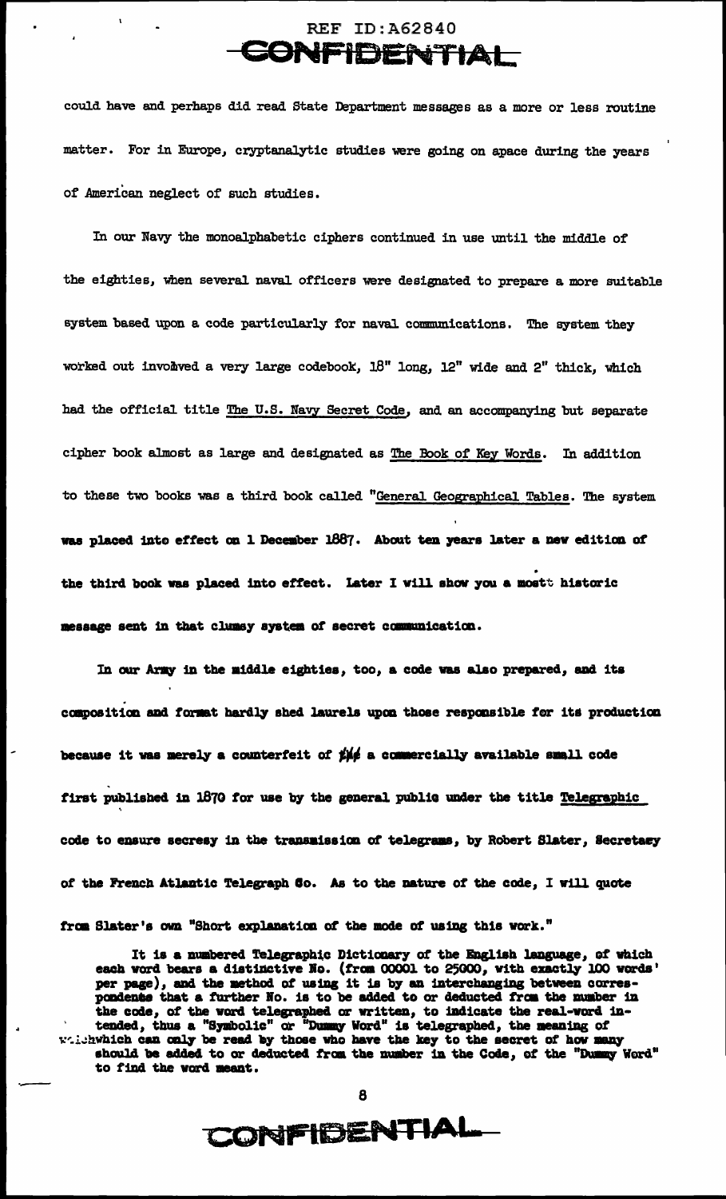### **REF ID: A62840** CONFIDENTIAL

could have and perhaps did read State Department messages as a more or less routine matter. For in Europe, cryptanalytic studies were going on apace during the years of American neglect of such studies.

In our Navy the monoalphabetic ciphers continued in use until the middle of the eighties, when several naval officers were designated to prepare a more suitable system based upon a code particularly for naval communications. The system they worked out involved a very large codebook, 18" long, 12" wide and 2" thick, which had the official title The U.S. Navy Secret Code, and an accompanying but separate cipher book almost as large and designated as The Book of Key Words. In addition to these two books was a third book called "General Geographical Tables. The system was placed into effect on 1 December 1887. About ten years later a new edition of the third book was placed into effect. Later I will show you a mostt historic message sent in that clumsy system of secret communication.

In our Army in the middle eighties, too, a code was also prepared, and its composition and format hardly shed laurels upon those responsible for its production because it was merely a counterfeit of  $\sharp\sharp\sharp$  a commercially available small code first published in 1670 for use by the general public under the title Telegraphic code to ensure secresy in the transmission of telegrams, by Robert Slater, Secretary of the French Atlantic Telegraph Co. As to the nature of the code, I will quote

from Slater's own "Short explanation of the mode of using this work."

It is a numbered Telegraphic Dictionary of the English language, of which each word bears a distinctive No. (from 00001 to 25000, with exactly 100 words' per page), and the method of using it is by an interchanging between correspondence that a further No. is to be added to or deducted from the number in the code, of the word telegraphed or written, to indicate the real-word in-<br>tended, thus a "Symbolic" or "Dummy Word" is telegraphed, the meaning of which can only be read by those who have the key to the secret of how many should be added to or deducted from the number in the Code, of the "Dummy Word" to find the word meant.

8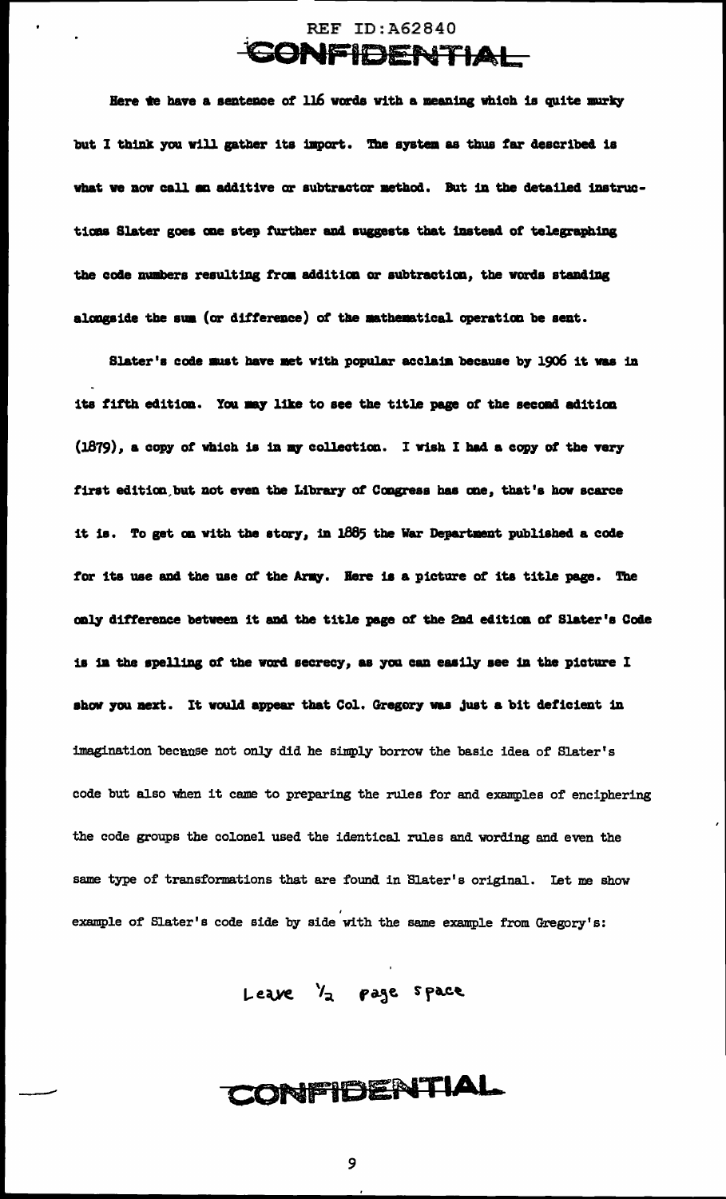

Here te have a sentence of 116 words with a meaning which is quite murky but I think you will gather its import. The system as thus far described is what we now call an additive or subtractor method. But in the detailed instructions Slater goes one step further and suggests that instead of telegraphing the code numbers resulting from addition or subtraction, the words standing alongside the sum (or difference) of the mathematical operation be sent.

Slater's code must have met with popular acclaim because by 1906 it was in its fifth edition. You may like to see the title page of the second adition (1879), a copy of which is in my collection. I wish I had a copy of the very first edition but not even the Library of Congress has one, that's how scarce it is. To get on with the story, in 1885 the War Department published a code for its use and the use of the Army. Here is a picture of its title page. The only difference between it and the title page of the 2nd edition of Slater's Code is in the spelling of the word secrecy, as you can easily see in the picture I show you next. It would appear that Col. Gregory was just a bit deficient in imagination because not only did he simply borrow the basic idea of Slater's code but also when it came to preparing the rules for and examples of enciphering the code groups the colonel used the identical rules and wording and even the same type of transformations that are found in Slater's original. Let me show example of Slater's code side by side with the same example from Gregory's:

Leave /2 page space

CONFIDENTIAL

9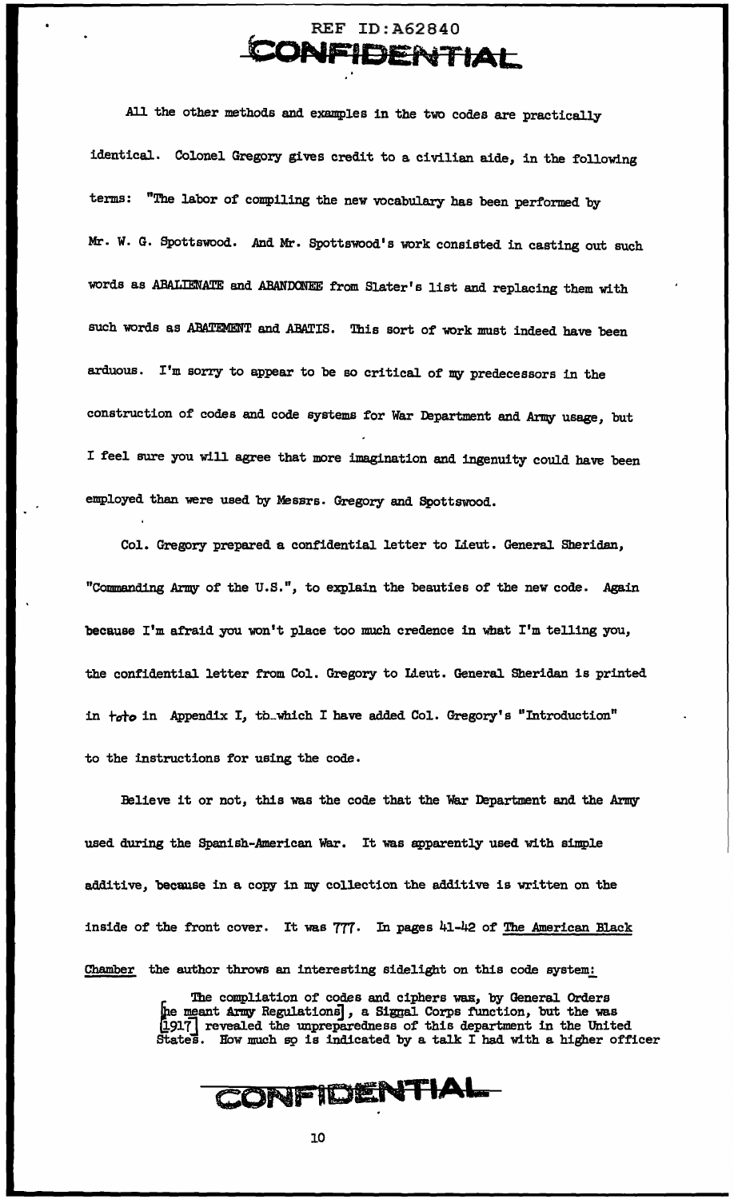### REF ID:A62840 **CoNFIDENTIAL**

All the other methods and examples in the two codes are practically identical. Colonel Gregory gives credit to a civilian aide, in the following terms: "The labor of compiling the new vocabulary has been performed by Mr. W. G. Spottswood. And Mr. Spottswood's work consisted in casting out such words as ABALIENATE and ABANDONEE from Slater's list and replacing them with such words as ABATEMENT and ABATIS. This sort of work must indeed have been arduous. I'm sorry to appear to be so critical of my predecessors in the construction of codes and code systems for War Department and Army usage, but I feel sure you will agree that more imagination and ingenuity could have been employed than were used by Messrs. Gregory and Spottswood.

Col. Gregory prepared a confidential letter to Lieut. General Sheridan, "Commanding Army of' the U.S.", to explain the beauties of' the new code. Again because I'm afraid you won't place too much credence in what I'm telling you, the confidential letter from Col. Gregory to Lieut. General Sheridan is printed in *+oto* in Appendix I, tb .. which I have added Col. Gregory's "Introduction" to the instructions for using the code.

Believe it or not, this was the code that the War Department and the Army used during the Spanish-American War. It was apparently used with simple additive, because in a copy in my collection the additive is written on the inside of the front cover. It was 777. In pages 41-42 of The American Black Chamber the author throws an interesting sidelight on this code system:

> The compliation of codes and ciphers was, by General Orders the meant Army Regulations], a Signal Corps function, but the was [1917] revealed the unpreparedness of this department in the United States. How much so is indicated by a talk I had with a higher officer

**CONFIDENTIAL.**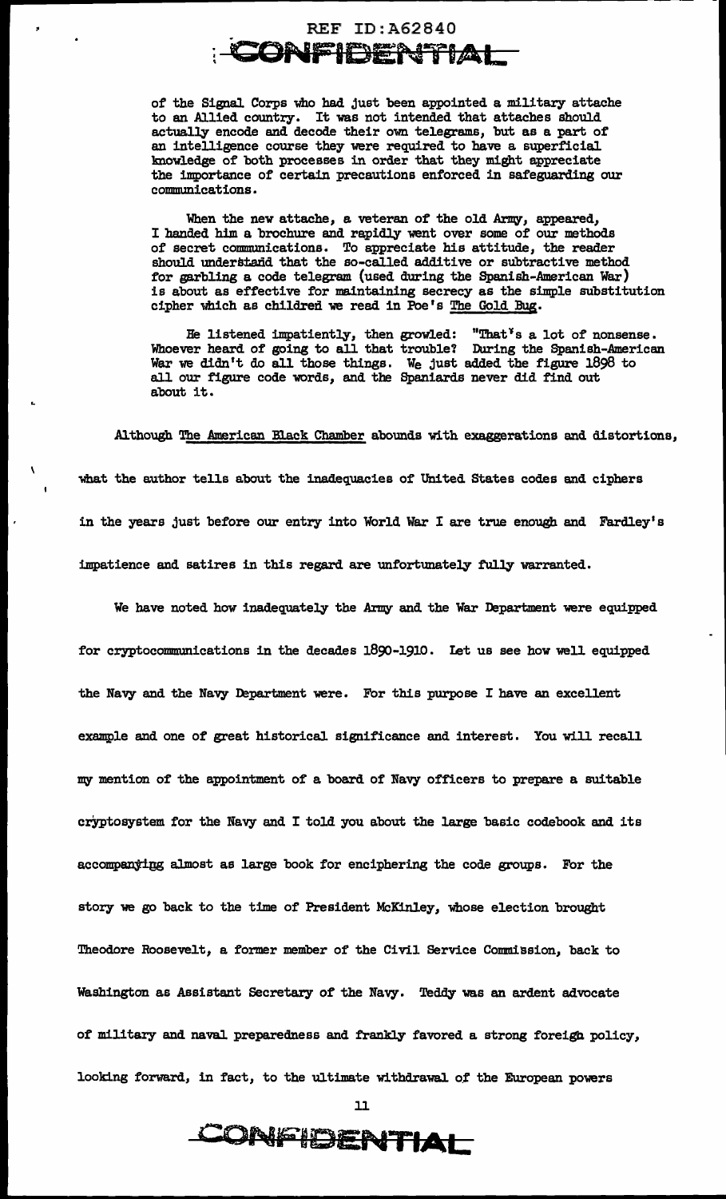### REF ID:A62840 **CONFIDEN ... flAL**

of the Signal Corps who had just been appointed a military attache to an Allied country. It was not intended that attaches should actually encode and decode their own telegrams, but as a part of an intelligence course they were required to have a superficial knowledge of both processes in order that they might appreciate the importance of certain precautions enforced in safeguarding our communications.

When the new attache, a veteran of the old Army, appeared, I handed him a brochure and rapidly went over some of our methods of secret communications. To appreciate his attitude, the reader should understand that the so-called additive or subtractive method for garbling a code telegram (used during the Spanish-American War) is about as effective for maintaining secrecy as the simple substitution cipher which as children we read in Poe's The Gold Bug.

He listened impatiently, then growled: "That<sup>\*</sup>s a lot of nonsense. Whoever heard of going to all that trouble? During the Spanish-American War we didn't do all those things. We just added the figure 1898 to all our figure code words, and the Spaniards never did find out about it.

Although The American Black Chamber abounds with exaggerations and distortions, what the author tells about the inadequacies of United States codes and ciphers in the years just before our entry into World War I are true enough and Fardley' s impatience and satires in this regard are unfortunately fully warranted.

We have noted how inadequately the Army and the War Department were equipped for cryptocommunications in the decades 1890-1910. Let us see how well equipped the Navy and the Navy Department were. For this purpose I have an excellent example and one of great historical significance and interest. You will recall my mention of the appointment of a board of Navy officers to prepare a suitable cryptosystem for the Navy and I told you about the large basic codebook and its accompany±ijg almost as large book for enciphering the code groups. For the story we go back to the time of President McKinley, whose election brought Theodore Roosevelt, a former member of the Civil Service Commission, back to Washington as Assistant Secretary of the Navy. Teddy was an ardent advocate of military and naval preparedness and frankly favored a strong foreign policy, looking forward, in fact, to the ultimate withdrawal of the European powers

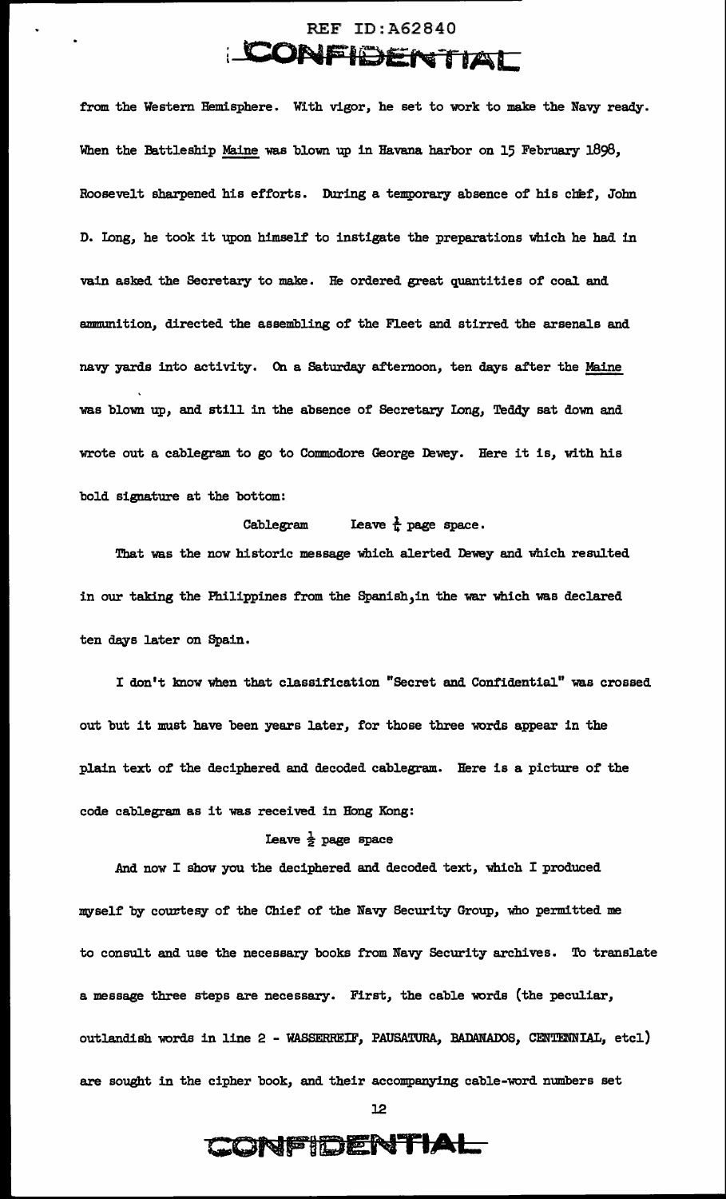### REF ID:A62840 **CONFIDENTIAL**

from the Western Hemisphere. With vigor, he set to work to make the Navy ready. When the Battleship Maine was blown up in Havana harbor on 15 February 1898, Roosevelt sharpened his efforts. During a temporary absence of his chef, John D. Iong, he took it upon himself to instigate the preparations which he had in vain asked the Secretary to make. He ordered great quantities of coal and ammunition, directed the assembling of the Fleet and stirred the arsenals and navy yards into activity. On a Saturday afternoon, ten days after the Maine was blown up, and still in the absence of Secretary Iong, Teddy sat down and wrote out a cablegram to go to Commodore George Dewey. Here it is, with his bold signature at the bottom:

#### Cablegram Leave  $\frac{1}{k}$  page space.

That was the now historic message which alerted Dewey and which resulted in our taking the Philippines from the Spanish,in the war which was declared ten days later on Spain.

I don't know when that classification "Secret and Confidential" was crossed out but it must have been years later, for those three words appear in the plain text of the deciphered and decoded cablegram. Here is a picture of the code cablegram as it was received in Hong Kong:

#### Leave  $\frac{1}{2}$  page space

.And now I show you the deciphered and decoded text, which I produced myself by courtesy of the Chief of the Navy Security Group, who permitted me to consult and use the necessary books from Navy Security archives. To translate a message three steps are necessary. First, the cable words (the peculiar, outlandish words in line 2 - WASSERREIF, PAUSATURA, BADANADOS, CENTENNIAL, etcl) are sought in the cipher book, and their accompanying cable-word numbers set

12

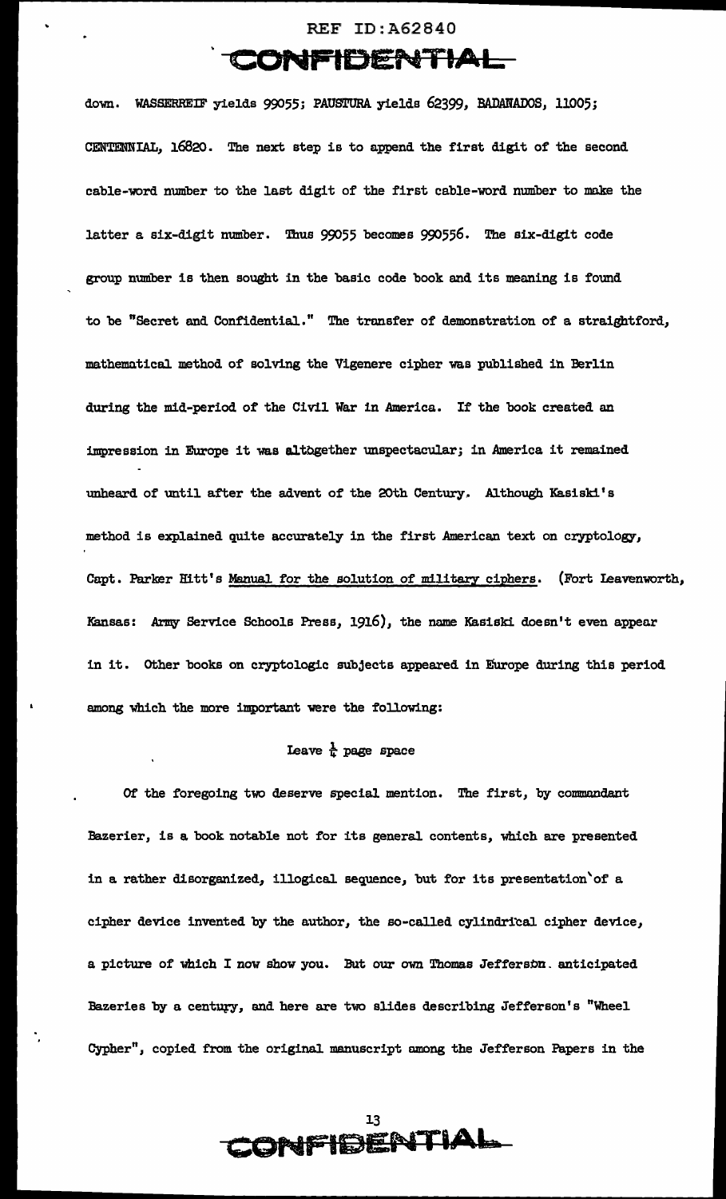#### REF ID:A62840

### . **CONfFIOENTIAL**

down. WASSERREIF yields 99055; PAUSTURA. yields 62399, BADANADOS, 11005; CENTENNIAL, 16820. The next step is to append the first digit of the second cable-word number to the last digit of the first cable-word number to make the latter a six-digit number. Thus 99055 becomes 990556. The six-digit code group number is then sought in the basic code book and its meaning is found to be "Secret and Confidential." The transfer of demonstration of a straightford, mathematical method of solving the Vigenere cipher was published in Berlin during the mid-period of the Civil War in America. If the book created an impression in Europe it was altogether unspectacular; in America it remained unheard of until after the advent of the 20th Century. Although Kasiski's method is explained quite accurately in the first American text on cryptology, Capt. Parker Hitt's Manual for the solution of military ciphers. (Fort Ieavenworth, Kansas: Army Service Schools Press, 1916), the name Kasiski doesn't even appear in it. other books on cryptologic subjects appeared in Europe during this period among which the more important were the following:

#### I.eave *k* page space

Of the foregoing two deserve special mention. The first, by commandant Bazerier, is a book notable not for its general contents, which are presented in a rather disorganized, illogical sequence, but for its presentation'of a cipher device invented by the author, the so-called cylindrical cipher device, a picture of which I now show you. But our own Thomas Jefferson. anticipated Bazeries by a century, and here are two slides describing Jefferson's "Wheel Cypher", copied from the original manuscript among the Jefferson Papers in the

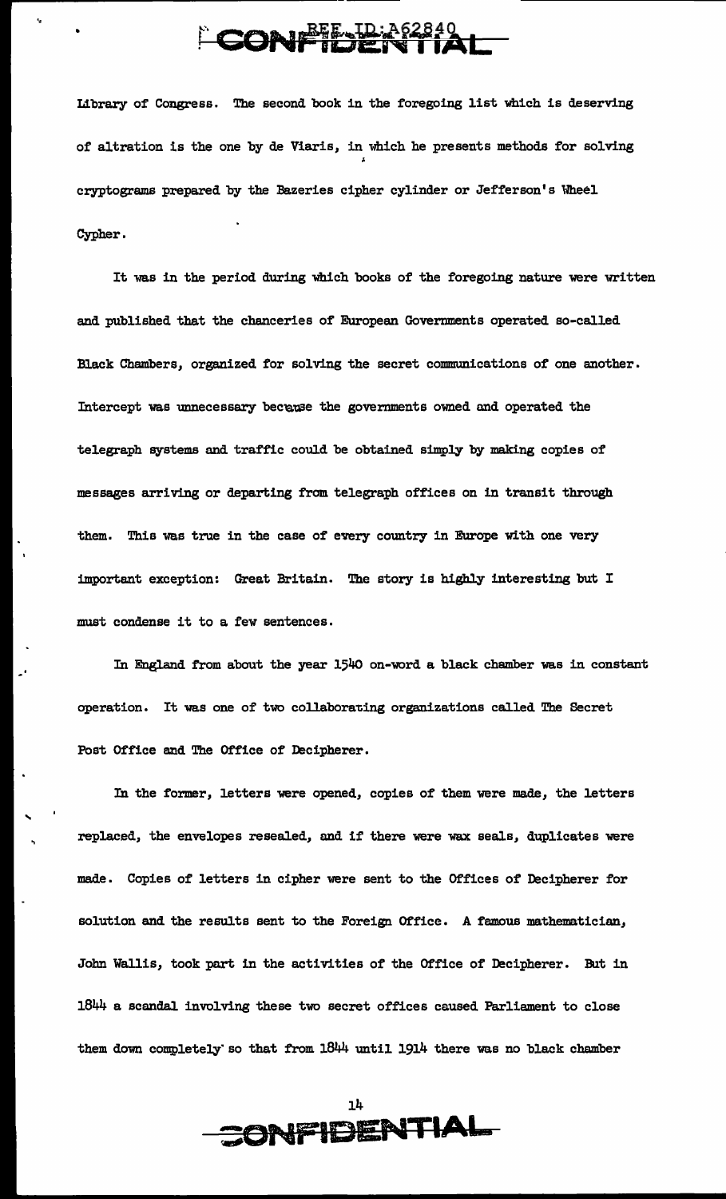# CONFIDENTIAL

 $\ddot{\phantom{a}}$ 

'

Library of Congress. The second book in the foregoing list which is deserving of altration is the one by de Viaris, in which he presents methods for solving cryptograms prepared by the Bazeries cipher cylinder or Jefferson's Wheel Cypher.

It was in the period during which books of the foregoing nature were written and published that the chanceries of European Governments operated so-called Black Chambers, organized for solving the secret communications of one another. Intercept was unnecessary because the governments owned and operated the telegraph systems and traffic could be obtained simply by making copies of messages arriving or departing from telegraph offices on in transit through them. This was true in the case of every country in Europe with one very important exception: Great Britain. The story is highly interesting but I must condense it to a few sentences.

In England from about the year 1540 on-word a black chamber was in constant operation. It was one of two collaborating organizations called The Secret Post Office end The Office of Decipherer.

In the former, letters were opened, copies of them were made, the letters replaced, the envelopes resealed, and if there were wax seals, duplicates were made. Copies of letters in cipher were sent to the Offices of Decipherer for solution and the results sent to the Foreign Office. A famous mathematician, John Wallis, took part in the activities of the Office of Decipherer. But in 1844 a scandal involving these two secret offices caused Parliament to close them dawn completely· so that from 1844 until 1914 there was no black chamber

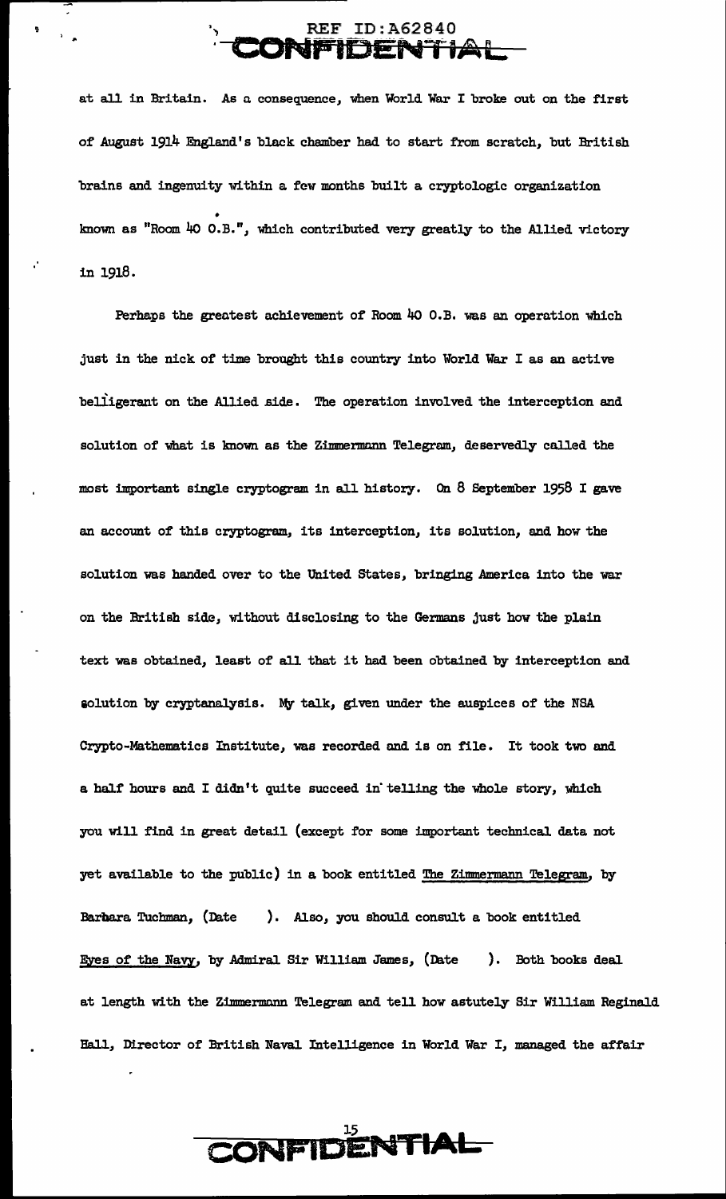#### REF ID:A62840 **CONP IDENTIAL**

at all in Britain. As a consequence, when World War I broke out on the first of August 1914 England's black chamber had to start from scratch, but British brains and ingenuity within a few months built a cryptologic organization • known as "Room 40 O.B.", which contributed very greatly to the Allied victory .. in 1918.

Perhaps the greatest achievement of Room 40 O.B. was an operation which just in the nick of time brought this country into World War I as an active belligerant on the Allied side. The operation involved the interception and solution of what is known as the Zimmermann Telegram, deservedly called the most important single cryptogram in all history. On  $8$  September 1958 I gave an account of this cryptogram, its interception, its solution, and how the solution was handed over to the United States, bringing America into the war on the British side, without disclosing to the Germans just how the plain text was obtained, least of all that it had been obtained by interception and solution by cryptanalysis. My talk, given under the auspices of the NSA Crypto-Mathematics Institute, was recorded and is on file. It took two and a half hours and I didn't quite succeed in· telling the whole story, which you will find in great detail (except for some important technical data not yet available to the public) in a book entitled The Zimmermann Telegram, by Barbara Tuchman, (Date ). Also, you should consult a book entitled Eyes of the Navy, by Admiral Sir William James, (Date ). Both books deal at length with the Zimmermann Telegram and tell how astutely Sir William Reginald Hall, Director of British Naval Intelligence in World War I, managed the affair